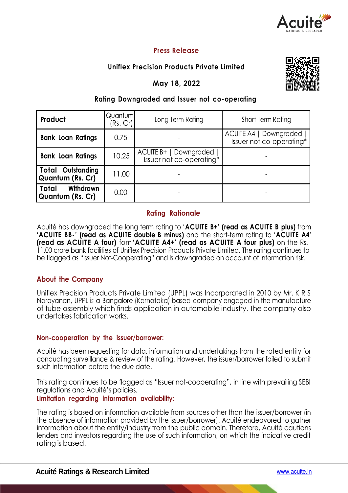

# **Press Release**

# **Uniflex Precision Products Private Limited**

**May 18, 2022**



## **Rating Downgraded and I ssuer not co-operating**

| Product                                             | Quantum<br>(Rs. Cr) | Long Term Rating                                   | Short Term Rating                                  |  |
|-----------------------------------------------------|---------------------|----------------------------------------------------|----------------------------------------------------|--|
| <b>Bank Loan Ratings</b>                            | 0.75                |                                                    | ACUITE A4   Downgraded<br>Issuer not co-operating* |  |
| <b>Bank Loan Ratings</b>                            | 10.25               | ACUITE B+   Downgraded<br>Issuer not co-operating* |                                                    |  |
| <b>Total Outstanding</b><br><b>Quantum (Rs. Cr)</b> | 11.00               |                                                    |                                                    |  |
| Withdrawn<br>Total<br><b>Quantum (Rs. Cr)</b>       | 0.00                |                                                    |                                                    |  |

#### **Rating Rationale**

Acuité has downgraded the long term rating to **'ACUITE B+' (read as ACUITE B plus)** from **'ACUITE BB-' (read as ACUITE double B minus)** and the short-term rating to **'ACUITE A4' (read as ACUITE A four)** fom **'ACUITE A4+' (read as ACUITE A four plus)** on the Rs. 11.00 crore bank facilities of Uniflex Precision Products Private Limited. The rating continues to be flagged as "Issuer Not-Cooperating" and is downgraded on account of information risk.

## **About the Company**

Uniflex Precision Products Private Limited (UPPL) was Incorporated in 2010 by Mr. K R S Narayanan, UPPL is a Bangalore (Karnataka) based company engaged in the manufacture of tube assembly which finds application in automobile industry. The company also undertakes fabrication works.

#### **Non-cooperation by the issuer/borrower:**

Acuité has been requesting for data, information and undertakings from the rated entity for conducting surveillance & review of the rating. However, the issuer/borrower failed to submit such information before the due date.

This rating continues to be flagged as "Issuer not-cooperating", in line with prevailing SEBI regulations and Acuité's policies.

#### **Limitation regarding information availability:**

The rating is based on information available from sources other than the issuer/borrower (in the absence of information provided by the issuer/borrower). Acuité endeavored to gather information about the entity/industry from the public domain. Therefore, Acuité cautions lenders and investors regarding the use of such information, on which the indicative credit rating is based.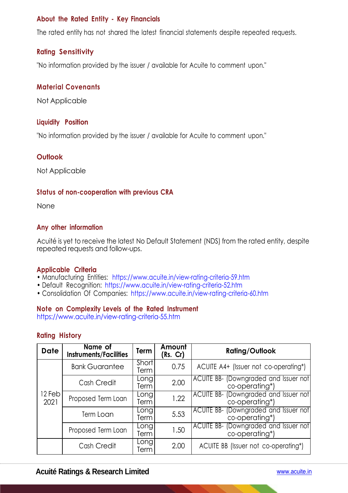## **About the Rated Entity - Key Financials**

The rated entity has not shared the latest financial statements despite repeated requests.

## **Rating Sensitivity**

"No information provided by the issuer / available for Acuite to comment upon."

## **Material Covenants**

Not Applicable

#### **Liquidity Position**

"No information provided by the issuer / available for Acuite to comment upon."

## **Outlook**

Not Applicable

## **Status of non-cooperation with previous CRA**

None

## **Any other information**

Acuité is yet to receive the latest No Default Statement (NDS) from the rated entity, despite repeated requests and follow-ups.

#### **Applicable Criteria**

- Manufacturing Entities: https://www.acuite.in/view-rating-criteria-59.htm
- Default Recognition: https://www.acuite.in/view-rating-criteria-52.htm
- Consolidation Of Companies: https://www.acuite.in/view-rating-criteria-60.htm

## **Note on Complexity Levels of the Rated Instrument**

https://www.acuite.in/view-rating-criteria-55.htm

#### **Rating History**

| <b>Date</b>                 | Name of<br><b>Instruments/Facilities</b> | Term          | Amount<br>(Rs. Cr) | <b>Rating/Outlook</b>                                   |
|-----------------------------|------------------------------------------|---------------|--------------------|---------------------------------------------------------|
|                             | <b>Bank Guarantee</b>                    | Short<br>Term | 0.75               | ACUITE A4+ (Issuer not co-operating*)                   |
|                             | Cash Credit                              | Long<br>Term  | 2.00               | ACUITE BB- (Downgraded and Issuer not<br>co-operating*) |
| 12 Feb <sup>1</sup><br>2021 | Proposed Term Loan                       | Long<br>Term  | 1.22               | ACUITE BB- (Downgraded and Issuer not<br>co-operating*) |
|                             | Term Loan                                | Long<br>Term  | 5.53               | ACUITE BB- (Downgraded and Issuer not<br>co-operating*) |
|                             | Proposed Term Loan                       | Long<br>Term  | 1.50               | ACUITE BB- (Downgraded and Issuer not<br>co-operating*) |
|                             | Cash Credit                              | Long<br>Term  | 2.00               | ACUITE BB (Issuer not co-operating*)                    |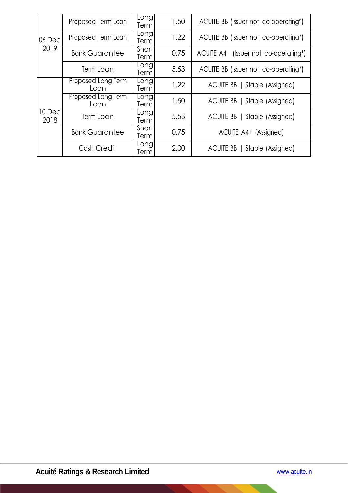|                 | Proposed Term Loan          | Long<br>Term         | 1.50 | ACUITE BB (Issuer not co-operating*)  |
|-----------------|-----------------------------|----------------------|------|---------------------------------------|
| 06 Dec<br>2019  | Proposed Term Loan          | Long<br>Term         | 1.22 | ACUITE BB (Issuer not co-operating*)  |
|                 | <b>Bank Guarantee</b>       | Short<br>Term        | 0.75 | ACUITE A4+ (Issuer not co-operating*) |
|                 | Term Loan                   | Long<br>Term         | 5.53 | ACUITE BB (Issuer not co-operating*)  |
| 10 Decl<br>2018 | Proposed Long Term<br>Loan  | Long<br>Term         | 1.22 | ACUITE BB   Stable (Assigned)         |
|                 | Proposed Long Term<br>Loan  | Long<br>Term         | 1.50 | ACUITE BB   Stable (Assigned)         |
|                 | <b>Term Loan</b>            | Long<br>Term         | 5.53 | ACUITE BB   Stable (Assigned)         |
|                 | <b>Bank Guarantee</b>       | <b>Short</b><br>Term | 0.75 | ACUITE A4+ (Assigned)                 |
|                 | Long<br>Cash Credit<br>Term |                      | 2.00 | ACUITE BB   Stable (Assigned)         |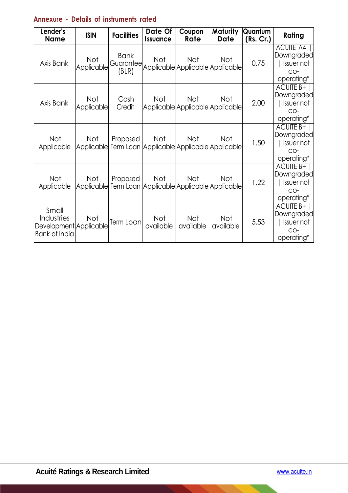# **Annexure - Details of instruments rated**

| Lender's<br><b>Name</b>                                        | <b>ISIN</b>              | <b>Facilities</b>                 | Date Of<br><b>Issuance</b> | Coupon<br>Rate                                    | Maturity<br>Date | Quantum<br>(Rs. Cr.) | Rating                                                                     |
|----------------------------------------------------------------|--------------------------|-----------------------------------|----------------------------|---------------------------------------------------|------------------|----------------------|----------------------------------------------------------------------------|
| Axis Bank                                                      | <b>Not</b><br>Applicable | <b>Bank</b><br>Guarantee<br>(BLR) | <b>Not</b>                 | Not<br>Applicable Applicable Applicable           | Not              | 0.75                 | ACUITE A4<br>Downgraded<br><b>Issuer not</b><br>$CO-$<br>operating*        |
| Axis Bank                                                      | <b>Not</b><br>Applicable | Cash<br>Credit                    | Not                        | Not<br>Applicable Applicable Applicable           | Not              | 2.00                 | ACUITE B+<br>Downgraded<br>Issuer not<br>$CO-$<br>operating*               |
| Not<br>Applicable                                              | Not<br>Applicable        | Proposed                          | Not                        | Not<br>Term Loan Applicable Applicable Applicable | Not              | 1.50                 | <b>ACUITE B+</b><br><b>Downgraded</b><br>Issuer not<br>$CO-$<br>operating* |
| <b>Not</b><br>Applicable                                       | Not<br><b>Applicable</b> | Proposed                          | Not                        | Not<br>Term Loan Applicable Applicable Applicable | Not              | 1.22                 | ACUITE B+  <br>Downgraded<br>Issuer not<br>$CO-$<br>operating*             |
| Small<br>Industries<br>Development Applicable<br>Bank of India | Not                      | Term Loan                         | Not<br>available           | Not<br>available                                  | Not<br>available | 5.53                 | <b>ACUITE B+</b><br>Downgraded<br>Issuer not<br>$CO-$<br>operating*        |